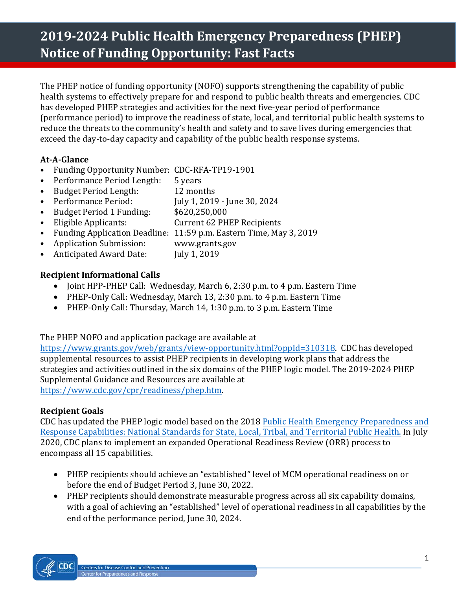# **2019-2024 Public Health Emergency Preparedness (PHEP) Notice of Funding Opportunity: Fast Facts**

The PHEP notice of funding opportunity (NOFO) supports strengthening the capability of public health systems to effectively prepare for and respond to public health threats and emergencies. CDC has developed PHEP strategies and activities for the next five-year period of performance (performance period) to improve the readiness of state, local, and territorial public health systems to reduce the threats to the community's health and safety and to save lives during emergencies that exceed the day-to-day capacity and capability of the public health response systems.

## **At-A-Glance**

- Funding Opportunity Number: CDC-RFA-TP19-1901<br>• Performance Period Length: 5 years
- Performance Period Length: 5 years<br>Budget Period Length: 12 months
- Budget Period Length:<br>• Performance Period:
- Performance Period: July 1, 2019 June 30, 2024<br>• Budget Period 1 Funding: \$620,250,000
- **Budget Period 1 Funding:**<br>Eligible Applicants:
- Eligible Applicants: Current 62 PHEP Recipients
- Funding Application Deadline: 11:59 p.m. Eastern Time, May 3, 2019<br>• Application Submission: www.grants.gov
- Application Submission: www.grants<br>Anticipated Award Date: July 1, 2019
- Anticipated Award Date:

### **Recipient Informational Calls**

- Joint HPP-PHEP Call: Wednesday, March 6, 2:30 p.m. to 4 p.m. Eastern Time
- PHEP-Only Call: Wednesday, March 13, 2:30 p.m. to 4 p.m. Eastern Time
- PHEP-Only Call: Thursday, March 14, 1:30 p.m. to 3 p.m. Eastern Time

The PHEP NOFO and application package are available at

[https://www.grants.gov/web/grants/view-opportunity.html?oppId=310318.](https://www.grants.gov/web/grants/view-opportunity.html?oppId=310318) CDC has developed supplemental resources to assist PHEP recipients in developing work plans that address the strategies and activities outlined in the six domains of the PHEP logic model. The 2019-2024 PHEP Supplemental Guidance and Resources are available at [https://www.cdc.gov/cpr/readiness/phep](https://www.cdc.gov/cpr/readiness/phep.htm).htm.

### **Recipient Goals**

CDC has updated the PHEP logic model based on the 2018 [Public Health Emergency Preparedness](https://www.cdc.gov/cpr/readiness/capabilities.htm) and [Response Capabilities: National Standards for State, Local, Tribal, and Territorial Public Health.](https://www.cdc.gov/cpr/readiness/capabilities.htm) In July 2020, CDC plans to implement an expanded Operational Readiness Review (ORR) process to encompass all 15 capabilities.

- PHEP recipients should achieve an "established" level of MCM operational readiness on or before the end of Budget Period 3, June 30, 2022.
- PHEP recipients should demonstrate measurable progress across all six capability domains, with a goal of achieving an "established" level of operational readiness in all capabilities by the end of the performance period, June 30, 2024.

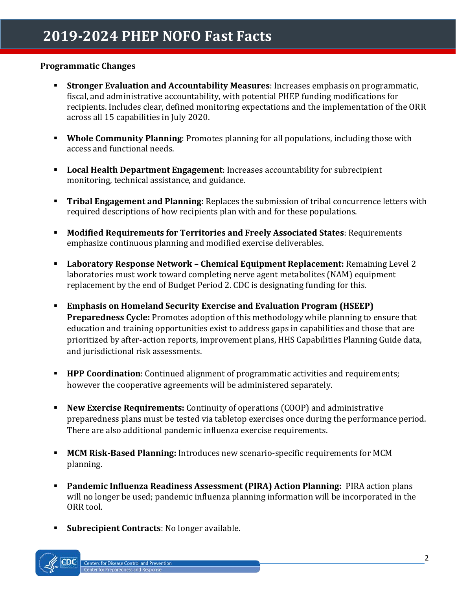#### **Programmatic Changes**

- **Stronger Evaluation and Accountability Measures**: Increases emphasis on programmatic, fiscal, and administrative accountability, with potential PHEP funding modifications for recipients. Includes clear, defined monitoring expectations and the implementation of the ORR across all 15 capabilities in July 2020.
- **Whole Community Planning**: Promotes planning for all populations, including those with access and functional needs.
- **Local Health Department Engagement**: Increases accountability for subrecipient monitoring, technical assistance, and guidance.
- **Tribal Engagement and Planning**: Replaces the submission of tribal concurrence letters with required descriptions of how recipients plan with and for these populations.
- **Modified Requirements for Territories and Freely Associated States**: Requirements emphasize continuous planning and modified exercise deliverables.
- **Laboratory Response Network Chemical Equipment Replacement:** Remaining Level 2 laboratories must work toward completing nerve agent metabolites (NAM) equipment replacement by the end of Budget Period 2. CDC is designating funding for this.
- **Emphasis on Homeland Security Exercise and Evaluation Program (HSEEP) Preparedness Cycle:** Promotes adoption of this methodology while planning to ensure that education and training opportunities exist to address gaps in capabilities and those that are prioritized by after-action reports, improvement plans, HHS Capabilities Planning Guide data, and jurisdictional risk assessments.
- **HPP Coordination**: Continued alignment of programmatic activities and requirements; however the cooperative agreements will be administered separately.
- **New Exercise Requirements:** Continuity of operations (COOP) and administrative preparedness plans must be tested via tabletop exercises once during the performance period. There are also additional pandemic influenza exercise requirements.
- **MCM Risk-Based Planning:** Introduces new scenario-specific requirements for MCM planning.
- **Pandemic Influenza Readiness Assessment (PIRA) Action Planning:** PIRA action plans will no longer be used; pandemic influenza planning information will be incorporated in the ORR tool.
- **Subrecipient Contracts:** No longer available.